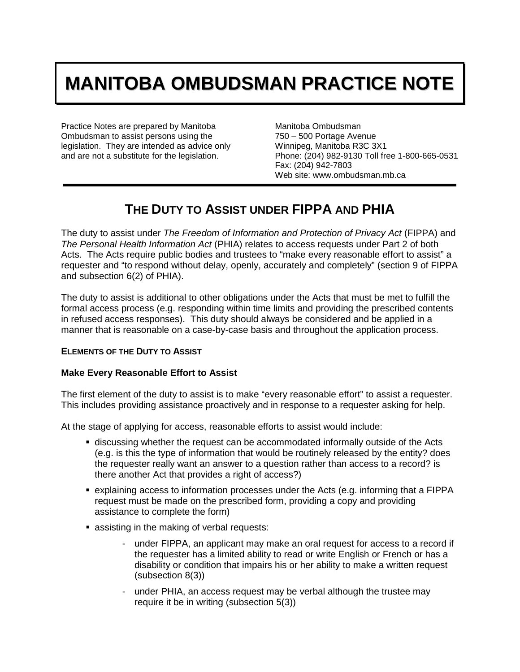# **MANITOBA OMBUDSMAN PRACTICE NOTE**

Practice Notes are prepared by Manitoba Ombudsman to assist persons using the legislation. They are intended as advice only and are not a substitute for the legislation.

Manitoba Ombudsman 750 – 500 Portage Avenue Winnipeg, Manitoba R3C 3X1 Phone: (204) 982-9130 Toll free 1-800-665-0531 Fax: (204) 942-7803 Web site: www.ombudsman.mb.ca

## **THE DUTY TO ASSIST UNDER FIPPA AND PHIA**

The duty to assist under *The Freedom of Information and Protection of Privacy Act* (FIPPA) and *The Personal Health Information Act* (PHIA) relates to access requests under Part 2 of both Acts. The Acts require public bodies and trustees to "make every reasonable effort to assist" a requester and "to respond without delay, openly, accurately and completely" (section 9 of FIPPA and subsection 6(2) of PHIA).

The duty to assist is additional to other obligations under the Acts that must be met to fulfill the formal access process (e.g. responding within time limits and providing the prescribed contents in refused access responses). This duty should always be considered and be applied in a manner that is reasonable on a case-by-case basis and throughout the application process.

#### **ELEMENTS OF THE DUTY TO ASSIST**

#### **Make Every Reasonable Effort to Assist**

The first element of the duty to assist is to make "every reasonable effort" to assist a requester. This includes providing assistance proactively and in response to a requester asking for help.

At the stage of applying for access, reasonable efforts to assist would include:

- discussing whether the request can be accommodated informally outside of the Acts (e.g. is this the type of information that would be routinely released by the entity? does the requester really want an answer to a question rather than access to a record? is there another Act that provides a right of access?)
- explaining access to information processes under the Acts (e.g. informing that a FIPPA request must be made on the prescribed form, providing a copy and providing assistance to complete the form)
- **assisting in the making of verbal requests:** 
	- under FIPPA, an applicant may make an oral request for access to a record if the requester has a limited ability to read or write English or French or has a disability or condition that impairs his or her ability to make a written request (subsection 8(3))
	- under PHIA, an access request may be verbal although the trustee may require it be in writing (subsection 5(3))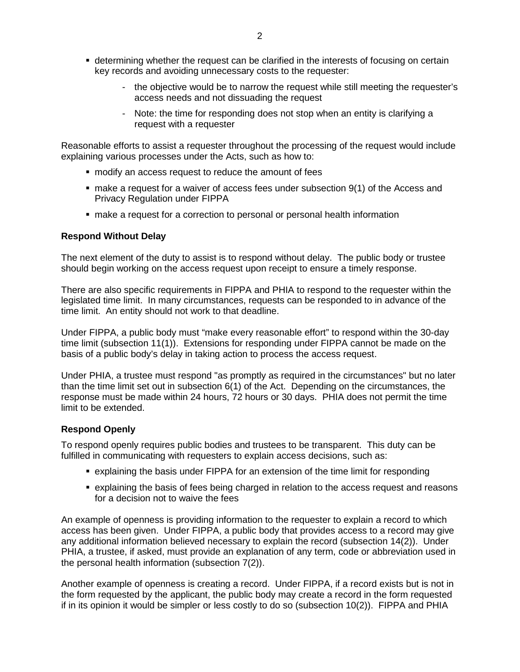- determining whether the request can be clarified in the interests of focusing on certain key records and avoiding unnecessary costs to the requester:
	- the objective would be to narrow the request while still meeting the requester's access needs and not dissuading the request
	- Note: the time for responding does not stop when an entity is clarifying a request with a requester

Reasonable efforts to assist a requester throughout the processing of the request would include explaining various processes under the Acts, such as how to:

- modify an access request to reduce the amount of fees
- make a request for a waiver of access fees under subsection 9(1) of the Access and Privacy Regulation under FIPPA
- make a request for a correction to personal or personal health information

#### **Respond Without Delay**

The next element of the duty to assist is to respond without delay. The public body or trustee should begin working on the access request upon receipt to ensure a timely response.

There are also specific requirements in FIPPA and PHIA to respond to the requester within the legislated time limit. In many circumstances, requests can be responded to in advance of the time limit. An entity should not work to that deadline.

Under FIPPA, a public body must "make every reasonable effort" to respond within the 30-day time limit (subsection 11(1)). Extensions for responding under FIPPA cannot be made on the basis of a public body's delay in taking action to process the access request.

Under PHIA, a trustee must respond "as promptly as required in the circumstances" but no later than the time limit set out in subsection 6(1) of the Act. Depending on the circumstances, the response must be made within 24 hours, 72 hours or 30 days. PHIA does not permit the time limit to be extended.

#### **Respond Openly**

To respond openly requires public bodies and trustees to be transparent. This duty can be fulfilled in communicating with requesters to explain access decisions, such as:

- explaining the basis under FIPPA for an extension of the time limit for responding
- explaining the basis of fees being charged in relation to the access request and reasons for a decision not to waive the fees

An example of openness is providing information to the requester to explain a record to which access has been given. Under FIPPA, a public body that provides access to a record may give any additional information believed necessary to explain the record (subsection 14(2)). Under PHIA, a trustee, if asked, must provide an explanation of any term, code or abbreviation used in the personal health information (subsection 7(2)).

Another example of openness is creating a record. Under FIPPA, if a record exists but is not in the form requested by the applicant, the public body may create a record in the form requested if in its opinion it would be simpler or less costly to do so (subsection 10(2)). FIPPA and PHIA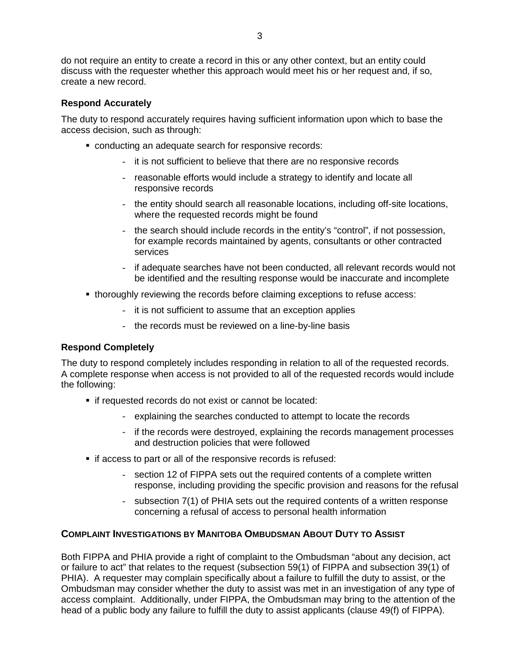do not require an entity to create a record in this or any other context, but an entity could discuss with the requester whether this approach would meet his or her request and, if so, create a new record.

#### **Respond Accurately**

The duty to respond accurately requires having sufficient information upon which to base the access decision, such as through:

- conducting an adequate search for responsive records:
	- it is not sufficient to believe that there are no responsive records
	- reasonable efforts would include a strategy to identify and locate all responsive records
	- the entity should search all reasonable locations, including off-site locations, where the requested records might be found
	- the search should include records in the entity's "control", if not possession, for example records maintained by agents, consultants or other contracted services
	- if adequate searches have not been conducted, all relevant records would not be identified and the resulting response would be inaccurate and incomplete
- thoroughly reviewing the records before claiming exceptions to refuse access:
	- it is not sufficient to assume that an exception applies
	- the records must be reviewed on a line-by-line basis

#### **Respond Completely**

The duty to respond completely includes responding in relation to all of the requested records. A complete response when access is not provided to all of the requested records would include the following:

- **if requested records do not exist or cannot be located:** 
	- explaining the searches conducted to attempt to locate the records
	- if the records were destroyed, explaining the records management processes and destruction policies that were followed
- **if access to part or all of the responsive records is refused:** 
	- section 12 of FIPPA sets out the required contents of a complete written response, including providing the specific provision and reasons for the refusal
	- subsection 7(1) of PHIA sets out the required contents of a written response concerning a refusal of access to personal health information

#### **COMPLAINT INVESTIGATIONS BY MANITOBA OMBUDSMAN ABOUT DUTY TO ASSIST**

Both FIPPA and PHIA provide a right of complaint to the Ombudsman "about any decision, act or failure to act" that relates to the request (subsection 59(1) of FIPPA and subsection 39(1) of PHIA). A requester may complain specifically about a failure to fulfill the duty to assist, or the Ombudsman may consider whether the duty to assist was met in an investigation of any type of access complaint. Additionally, under FIPPA, the Ombudsman may bring to the attention of the head of a public body any failure to fulfill the duty to assist applicants (clause 49(f) of FIPPA).